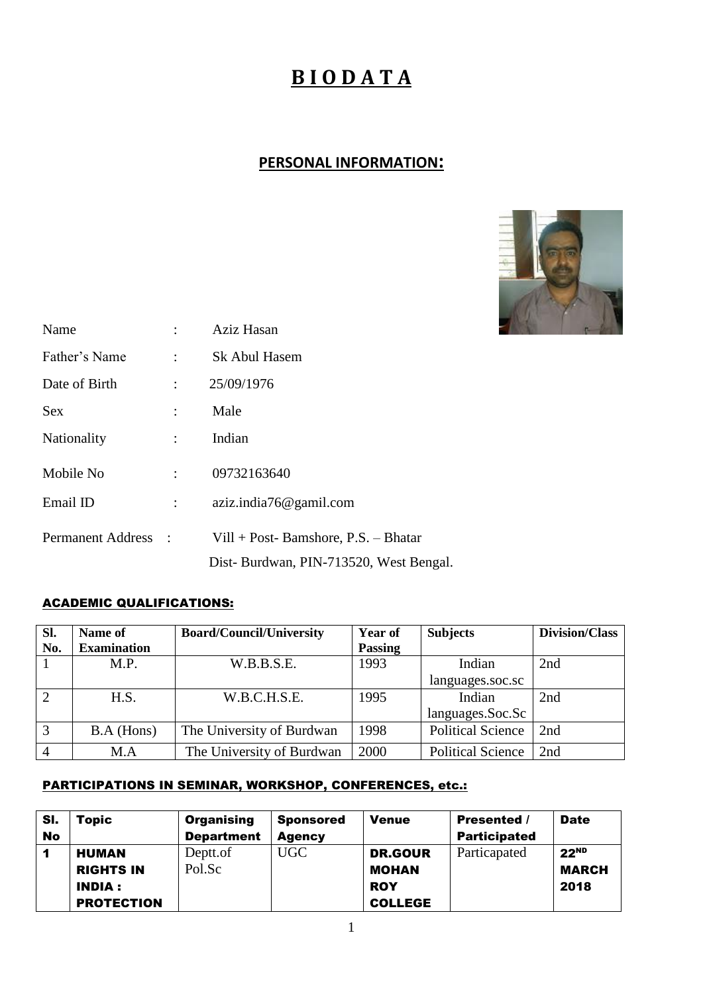## **B I O D A T A**

## **PERSONAL INFORMATION:**



| Name                |                | Aziz Hasan                             |
|---------------------|----------------|----------------------------------------|
| Father's Name       |                | Sk Abul Hasem                          |
| Date of Birth       | $\ddot{\cdot}$ | 25/09/1976                             |
| Sex                 |                | Male                                   |
| Nationality         |                | Indian                                 |
| Mobile No           |                | 09732163640                            |
| Email ID            | $\ddot{\cdot}$ | aziz.india76@gamil.com                 |
| Permanent Address : |                | Vill + Post-Bamshore, $P.S.$ - Bhatar  |
|                     |                | Dist-Burdwan, PIN-713520, West Bengal. |

## ACADEMIC QUALIFICATIONS:

| Sl.            | Name of            | <b>Board/Council/University</b> | <b>Year of</b> | <b>Subjects</b>          | Division/Class |
|----------------|--------------------|---------------------------------|----------------|--------------------------|----------------|
| No.            | <b>Examination</b> |                                 | <b>Passing</b> |                          |                |
|                | M.P.               | W.B.B.S.E.                      | 1993           | Indian                   | 2nd            |
|                |                    |                                 |                | languages.soc.sc         |                |
| $\overline{2}$ | H.S.               | W.B.C.H.S.E.                    | 1995           | Indian                   | 2nd            |
|                |                    |                                 |                | languages.Soc.Sc         |                |
| $\overline{3}$ | $B.A$ (Hons)       | The University of Burdwan       | 1998           | <b>Political Science</b> | 2nd            |
| $\overline{4}$ | M.A                | The University of Burdwan       | 2000           | <b>Political Science</b> | 2nd            |

## PARTICIPATIONS IN SEMINAR, WORKSHOP, CONFERENCES, etc.:

| SI.       | <b>Topic</b>      | <b>Organising</b> | <b>Sponsored</b> | <b>Venue</b>   | <b>Presented</b>    | <b>Date</b>  |
|-----------|-------------------|-------------------|------------------|----------------|---------------------|--------------|
| <b>No</b> |                   | <b>Department</b> | <b>Agency</b>    |                | <b>Participated</b> |              |
|           | <b>HUMAN</b>      | Deptt.of          | <b>UGC</b>       | <b>DR.GOUR</b> | Particapated        | $22^{ND}$    |
|           | <b>RIGHTS IN</b>  | Pol.Sc            |                  | <b>MOHAN</b>   |                     | <b>MARCH</b> |
|           | <b>INDIA:</b>     |                   |                  | <b>ROY</b>     |                     | 2018         |
|           | <b>PROTECTION</b> |                   |                  | <b>COLLEGE</b> |                     |              |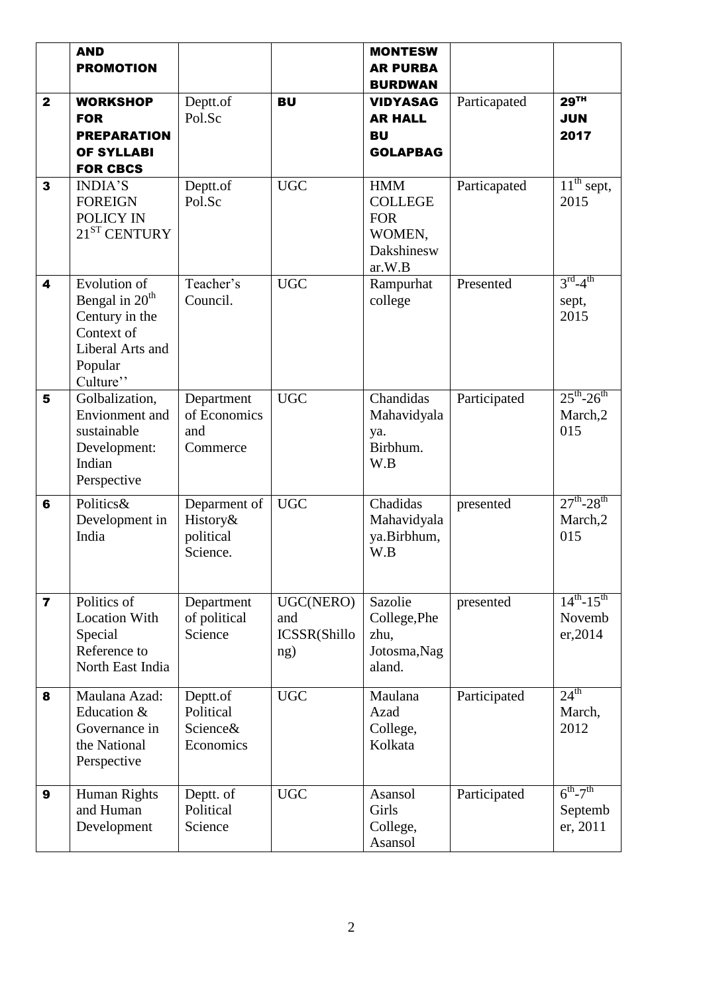|                         | <b>AND</b>                 |                         |              | <b>MONTESW</b>         |              |                            |
|-------------------------|----------------------------|-------------------------|--------------|------------------------|--------------|----------------------------|
|                         | <b>PROMOTION</b>           |                         |              | <b>AR PURBA</b>        |              |                            |
|                         |                            |                         |              | <b>BURDWAN</b>         |              |                            |
| $\mathbf{2}$            | <b>WORKSHOP</b>            | Deptt.of                | <b>BU</b>    | <b>VIDYASAG</b>        | Particapated | 29 <sup>TH</sup>           |
|                         | <b>FOR</b>                 | Pol.Sc                  |              | <b>AR HALL</b>         |              | <b>JUN</b>                 |
|                         | <b>PREPARATION</b>         |                         |              | <b>BU</b>              |              | 2017                       |
|                         | <b>OF SYLLABI</b>          |                         |              | <b>GOLAPBAG</b>        |              |                            |
|                         | <b>FOR CBCS</b>            |                         |              |                        |              |                            |
| $\overline{\mathbf{3}}$ | <b>INDIA'S</b>             | Deptt.of                | <b>UGC</b>   | <b>HMM</b>             | Particapated | $\overline{11^{th}}$ sept, |
|                         | <b>FOREIGN</b>             | Pol.Sc                  |              | <b>COLLEGE</b>         |              | 2015                       |
|                         | POLICY IN                  |                         |              | <b>FOR</b>             |              |                            |
|                         | $21^{ST}$ CENTURY          |                         |              | WOMEN,                 |              |                            |
|                         |                            |                         |              | Dakshinesw             |              |                            |
| $\overline{\mathbf{4}}$ | Evolution of               | Teacher's               | <b>UGC</b>   | ar.W.B<br>Rampurhat    | Presented    | $3rd-4th$                  |
|                         | Bengal in 20 <sup>th</sup> | Council.                |              | college                |              | sept,                      |
|                         | Century in the             |                         |              |                        |              | 2015                       |
|                         | Context of                 |                         |              |                        |              |                            |
|                         | Liberal Arts and           |                         |              |                        |              |                            |
|                         | Popular                    |                         |              |                        |              |                            |
|                         | Culture"                   |                         |              |                        |              |                            |
| 5                       | Golbalization,             | Department              | <b>UGC</b>   | Chandidas              | Participated | $25^{th} - 26^{th}$        |
|                         | Envionment and             | of Economics            |              | Mahavidyala            |              | March,2                    |
|                         | sustainable                | and                     |              | ya.                    |              | 015                        |
|                         | Development:               | Commerce                |              | Birbhum.               |              |                            |
|                         | Indian                     |                         |              | W.B                    |              |                            |
|                         | Perspective                |                         |              |                        |              |                            |
| 6                       | Politics&                  | Deparment of            | <b>UGC</b>   | Chadidas               | presented    | $27^{th} - 28^{th}$        |
|                         | Development in             | History&                |              | Mahavidyala            |              | March,2                    |
|                         | India                      | political               |              | ya.Birbhum,            |              | 015                        |
|                         |                            | Science.                |              | W.B                    |              |                            |
|                         |                            |                         |              |                        |              |                            |
|                         |                            |                         |              |                        |              |                            |
| $\overline{\mathbf{z}}$ | Politics of                | Department              | UGC(NERO)    | Sazolie                | presented    | $14^{th} - 15^{th}$        |
|                         | <b>Location With</b>       | of political<br>Science | and          | College, Phe           |              | Novemb                     |
|                         | Special<br>Reference to    |                         | ICSSR(Shillo | zhu,                   |              | er, 2014                   |
|                         | North East India           |                         | ng)          | Jotosma, Nag<br>aland. |              |                            |
|                         |                            |                         |              |                        |              |                            |
| 8                       | Maulana Azad:              | Deptt.of                | <b>UGC</b>   | Maulana                | Participated | $24^{\text{th}}$           |
|                         | Education &                | Political               |              | Azad                   |              | March,                     |
|                         | Governance in              | Science&                |              | College,               |              | 2012                       |
|                         | the National               | Economics               |              | Kolkata                |              |                            |
|                         | Perspective                |                         |              |                        |              |                            |
|                         |                            |                         |              |                        |              | $6^{th}$ -7 <sup>th</sup>  |
| $\boldsymbol{9}$        | Human Rights<br>and Human  | Deptt. of<br>Political  | <b>UGC</b>   | Asansol                | Participated |                            |
|                         |                            | Science                 |              | Girls                  |              | Septemb                    |
|                         | Development                |                         |              | College,               |              | er, 2011                   |
|                         |                            |                         |              | Asansol                |              |                            |